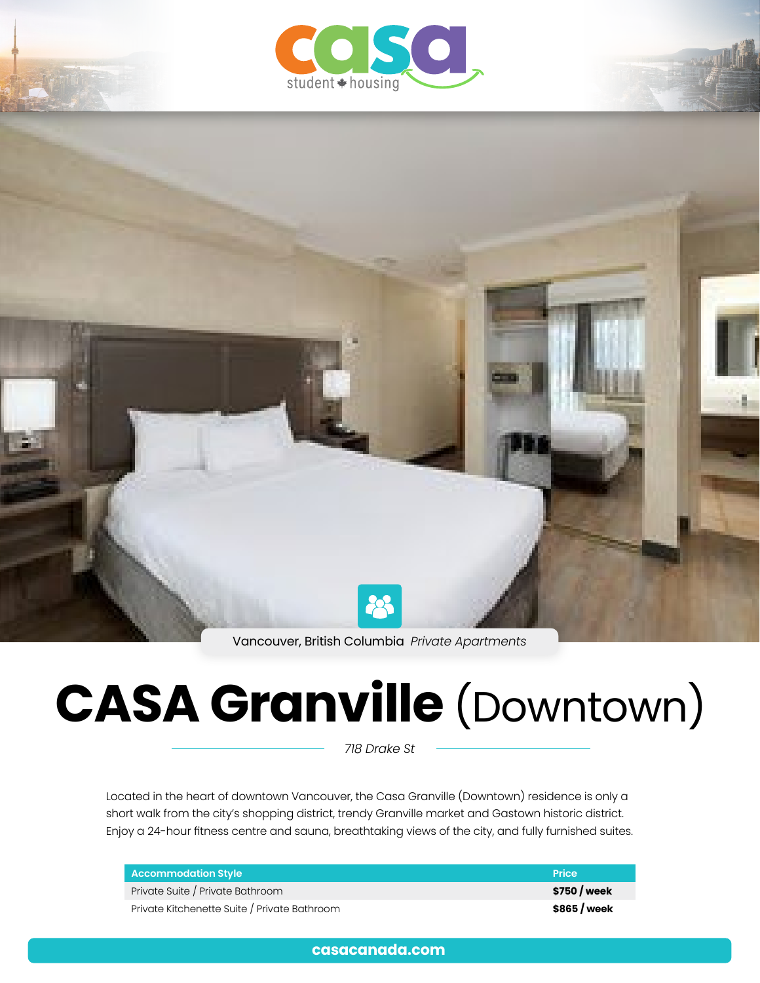



Vancouver, British Columbia *Private Apartments*

# **CASA Granville** (Downtown)

*718 Drake St*

Located in the heart of downtown Vancouver, the Casa Granville (Downtown) residence is only a short walk from the city's shopping district, trendy Granville market and Gastown historic district. Enjoy a 24-hour fitness centre and sauna, breathtaking views of the city, and fully furnished suites.

| <b>Accommodation Style</b>                   | <b>Price</b> |
|----------------------------------------------|--------------|
| Private Suite / Private Bathroom             | \$750 / week |
| Private Kitchenette Suite / Private Bathroom | \$865 / week |

**[casacanada.com](https://casacanada.com/)**